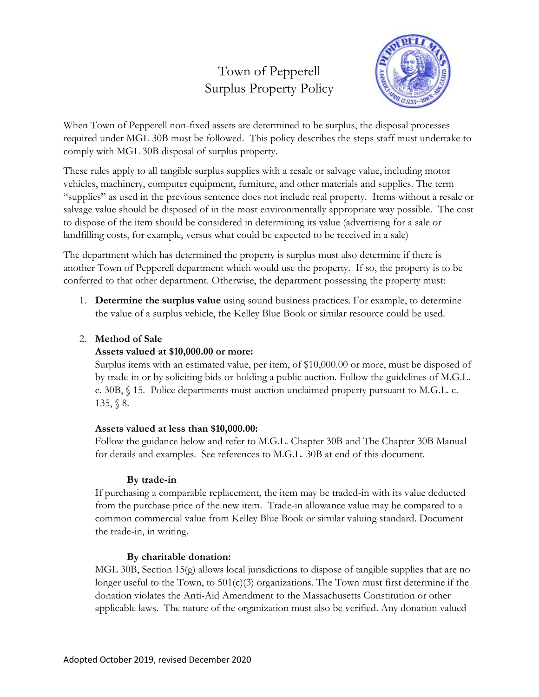# Town of Pepperell Surplus Property Policy



When Town of Pepperell non-fixed assets are determined to be surplus, the disposal processes required under MGL 30B must be followed. This policy describes the steps staff must undertake to comply with MGL 30B disposal of surplus property.

These rules apply to all tangible surplus supplies with a resale or salvage value, including motor vehicles, machinery, computer equipment, furniture, and other materials and supplies. The term "supplies" as used in the previous sentence does not include real property. Items without a resale or salvage value should be disposed of in the most environmentally appropriate way possible. The cost to dispose of the item should be considered in determining its value (advertising for a sale or landfilling costs, for example, versus what could be expected to be received in a sale)

The department which has determined the property is surplus must also determine if there is another Town of Pepperell department which would use the property. If so, the property is to be conferred to that other department. Otherwise, the department possessing the property must:

1. **Determine the surplus value** using sound business practices. For example, to determine the value of a surplus vehicle, the Kelley Blue Book or similar resource could be used.

## 2. **Method of Sale**

## **Assets valued at \$10,000.00 or more:**

Surplus items with an estimated value, per item, of \$10,000.00 or more, must be disposed of by trade-in or by soliciting bids or holding a public auction. Follow the guidelines of M.G.L. c. 30B, § 15. Police departments must auction unclaimed property pursuant to M.G.L. c. 135, § 8.

## **Assets valued at less than \$10,000.00:**

Follow the guidance below and refer to M.G.L. Chapter 30B and The Chapter 30B Manual for details and examples. See references to M.G.L. 30B at end of this document.

## **By trade-in**

If purchasing a comparable replacement, the item may be traded-in with its value deducted from the purchase price of the new item. Trade-in allowance value may be compared to a common commercial value from Kelley Blue Book or similar valuing standard. Document the trade-in, in writing.

## **By charitable donation:**

MGL 30B, Section 15(g) allows local jurisdictions to dispose of tangible supplies that are no longer useful to the Town, to  $501(c)(3)$  organizations. The Town must first determine if the donation violates the Anti-Aid Amendment to the Massachusetts Constitution or other applicable laws. The nature of the organization must also be verified. Any donation valued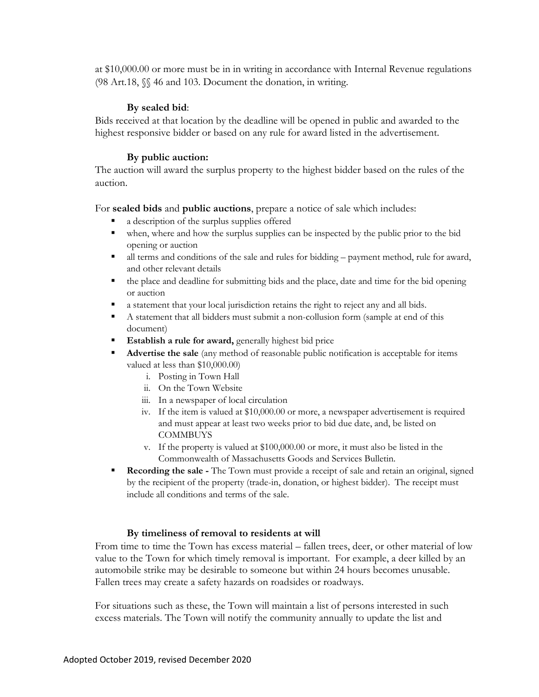at \$10,000.00 or more must be in in writing in accordance with Internal Revenue regulations (98 Art.18, §§ 46 and 103. Document the donation, in writing.

#### **By sealed bid**:

Bids received at that location by the deadline will be opened in public and awarded to the highest responsive bidder or based on any rule for award listed in the advertisement.

#### **By public auction:**

The auction will award the surplus property to the highest bidder based on the rules of the auction.

For **sealed bids** and **public auctions**, prepare a notice of sale which includes:

- a description of the surplus supplies offered
- when, where and how the surplus supplies can be inspected by the public prior to the bid opening or auction
- all terms and conditions of the sale and rules for bidding payment method, rule for award, and other relevant details
- the place and deadline for submitting bids and the place, date and time for the bid opening or auction
- a statement that your local jurisdiction retains the right to reject any and all bids.
- A statement that all bidders must submit a non-collusion form (sample at end of this document)
- **Establish a rule for award, generally highest bid price**
- **Advertise the sale** (any method of reasonable public notification is acceptable for items valued at less than \$10,000.00)
	- i. Posting in Town Hall
	- ii. On the Town Website
	- iii. In a newspaper of local circulation
	- iv. If the item is valued at \$10,000.00 or more, a newspaper advertisement is required and must appear at least two weeks prior to bid due date, and, be listed on **COMMBUYS**
	- v. If the property is valued at \$100,000.00 or more, it must also be listed in the Commonwealth of Massachusetts Goods and Services Bulletin.
- **Recording the sale** The Town must provide a receipt of sale and retain an original, signed by the recipient of the property (trade-in, donation, or highest bidder). The receipt must include all conditions and terms of the sale.

#### **By timeliness of removal to residents at will**

From time to time the Town has excess material – fallen trees, deer, or other material of low value to the Town for which timely removal is important. For example, a deer killed by an automobile strike may be desirable to someone but within 24 hours becomes unusable. Fallen trees may create a safety hazards on roadsides or roadways.

For situations such as these, the Town will maintain a list of persons interested in such excess materials. The Town will notify the community annually to update the list and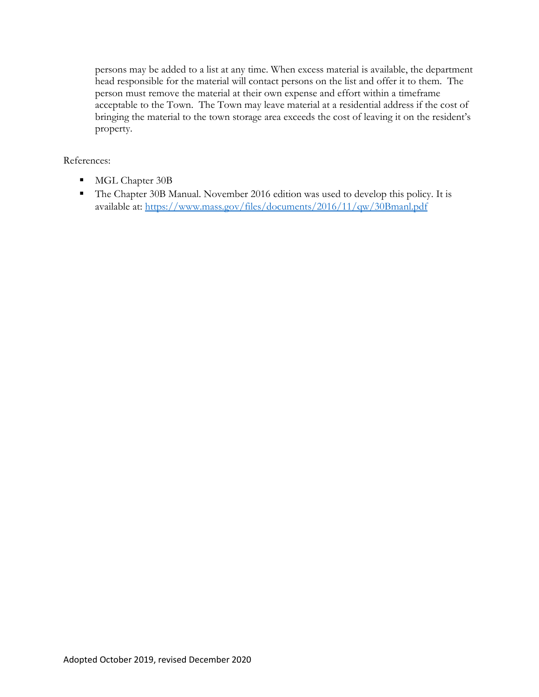persons may be added to a list at any time. When excess material is available, the department head responsible for the material will contact persons on the list and offer it to them. The person must remove the material at their own expense and effort within a timeframe acceptable to the Town. The Town may leave material at a residential address if the cost of bringing the material to the town storage area exceeds the cost of leaving it on the resident's property.

### References:

- MGL Chapter 30B
- The Chapter 30B Manual. November 2016 edition was used to develop this policy. It is available at:<https://www.mass.gov/files/documents/2016/11/qw/30Bmanl.pdf>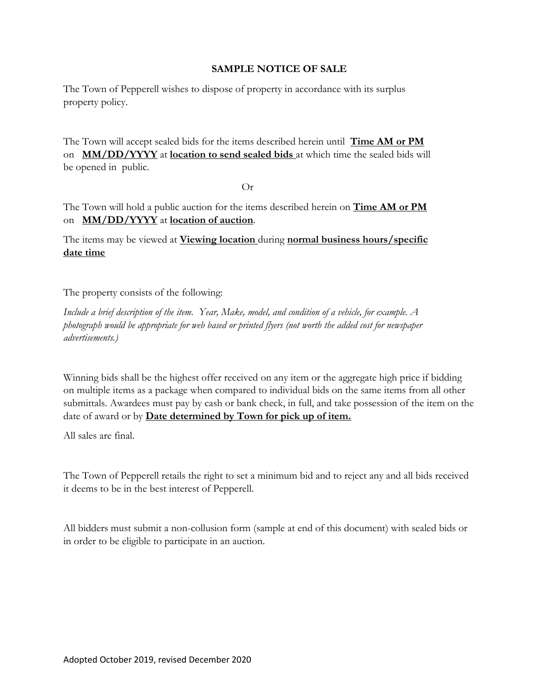#### **SAMPLE NOTICE OF SALE**

The Town of Pepperell wishes to dispose of property in accordance with its surplus property policy.

The Town will accept sealed bids for the items described herein until **Time AM or PM** on **MM/DD/YYYY** at **location to send sealed bids** at which time the sealed bids will be opened in public.

Or

The Town will hold a public auction for the items described herein on **Time AM or PM** on **MM/DD/YYYY** at **location of auction**.

The items may be viewed at **Viewing location** during **normal business hours/specific date time**

The property consists of the following:

*Include a brief description of the item. Year, Make, model, and condition of a vehicle, for example. A photograph would be appropriate for web based or printed flyers (not worth the added cost for newspaper advertisements.)*

Winning bids shall be the highest offer received on any item or the aggregate high price if bidding on multiple items as a package when compared to individual bids on the same items from all other submittals. Awardees must pay by cash or bank check, in full, and take possession of the item on the date of award or by **Date determined by Town for pick up of item.**

All sales are final.

The Town of Pepperell retails the right to set a minimum bid and to reject any and all bids received it deems to be in the best interest of Pepperell.

All bidders must submit a non-collusion form (sample at end of this document) with sealed bids or in order to be eligible to participate in an auction.